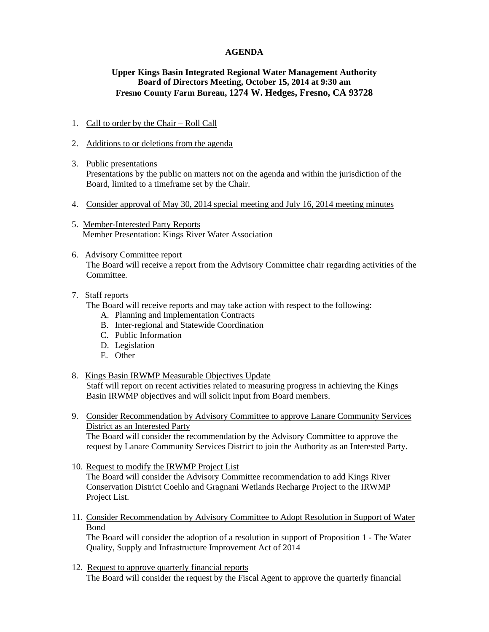## **AGENDA**

## **Upper Kings Basin Integrated Regional Water Management Authority Board of Directors Meeting, October 15, 2014 at 9:30 am Fresno County Farm Bureau, 1274 W. Hedges, Fresno, CA 93728**

- 1. Call to order by the Chair Roll Call
- 2. Additions to or deletions from the agenda
- 3. Public presentations Presentations by the public on matters not on the agenda and within the jurisdiction of the Board, limited to a timeframe set by the Chair.
- 4. Consider approval of May 30, 2014 special meeting and July 16, 2014 meeting minutes
- 5. Member-Interested Party Reports Member Presentation: Kings River Water Association
- 6. Advisory Committee report

The Board will receive a report from the Advisory Committee chair regarding activities of the Committee.

7. Staff reports

The Board will receive reports and may take action with respect to the following:

- A. Planning and Implementation Contracts
- B. Inter-regional and Statewide Coordination
- C. Public Information
- D. Legislation
- E. Other
- 8. Kings Basin IRWMP Measurable Objectives Update

Staff will report on recent activities related to measuring progress in achieving the Kings Basin IRWMP objectives and will solicit input from Board members.

9. Consider Recommendation by Advisory Committee to approve Lanare Community Services District as an Interested Party

The Board will consider the recommendation by the Advisory Committee to approve the request by Lanare Community Services District to join the Authority as an Interested Party.

- 10. Request to modify the IRWMP Project List The Board will consider the Advisory Committee recommendation to add Kings River Conservation District Coehlo and Gragnani Wetlands Recharge Project to the IRWMP Project List.
- 11. Consider Recommendation by Advisory Committee to Adopt Resolution in Support of Water Bond

The Board will consider the adoption of a resolution in support of Proposition 1 - The Water Quality, Supply and Infrastructure Improvement Act of 2014

12. Request to approve quarterly financial reports The Board will consider the request by the Fiscal Agent to approve the quarterly financial